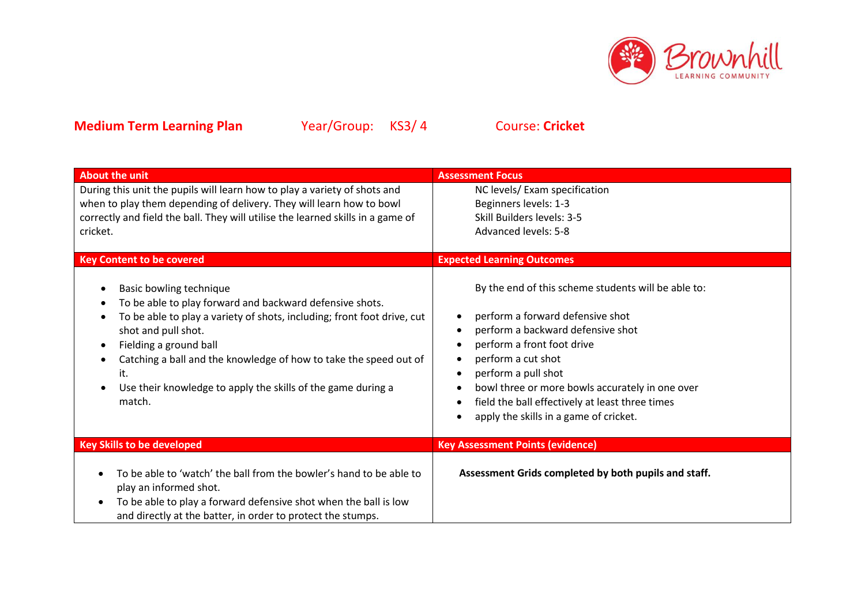

| <b>About the unit</b>                                                                                                                                                                                                                                                                                                                                                 | <b>Assessment Focus</b>                                                                                                                                                                                                                                                                                                                                 |
|-----------------------------------------------------------------------------------------------------------------------------------------------------------------------------------------------------------------------------------------------------------------------------------------------------------------------------------------------------------------------|---------------------------------------------------------------------------------------------------------------------------------------------------------------------------------------------------------------------------------------------------------------------------------------------------------------------------------------------------------|
| During this unit the pupils will learn how to play a variety of shots and<br>when to play them depending of delivery. They will learn how to bowl<br>correctly and field the ball. They will utilise the learned skills in a game of<br>cricket.                                                                                                                      | NC levels/ Exam specification<br>Beginners levels: 1-3<br>Skill Builders levels: 3-5<br><b>Advanced levels: 5-8</b>                                                                                                                                                                                                                                     |
| <b>Key Content to be covered</b>                                                                                                                                                                                                                                                                                                                                      | <b>Expected Learning Outcomes</b>                                                                                                                                                                                                                                                                                                                       |
| Basic bowling technique<br>To be able to play forward and backward defensive shots.<br>To be able to play a variety of shots, including; front foot drive, cut<br>shot and pull shot.<br>Fielding a ground ball<br>Catching a ball and the knowledge of how to take the speed out of<br>it.<br>Use their knowledge to apply the skills of the game during a<br>match. | By the end of this scheme students will be able to:<br>perform a forward defensive shot<br>perform a backward defensive shot<br>perform a front foot drive<br>perform a cut shot<br>perform a pull shot<br>bowl three or more bowls accurately in one over<br>field the ball effectively at least three times<br>apply the skills in a game of cricket. |
| <b>Key Skills to be developed</b>                                                                                                                                                                                                                                                                                                                                     | <b>Key Assessment Points (evidence)</b>                                                                                                                                                                                                                                                                                                                 |
| To be able to 'watch' the ball from the bowler's hand to be able to<br>play an informed shot.<br>To be able to play a forward defensive shot when the ball is low<br>and directly at the batter, in order to protect the stumps.                                                                                                                                      | Assessment Grids completed by both pupils and staff.                                                                                                                                                                                                                                                                                                    |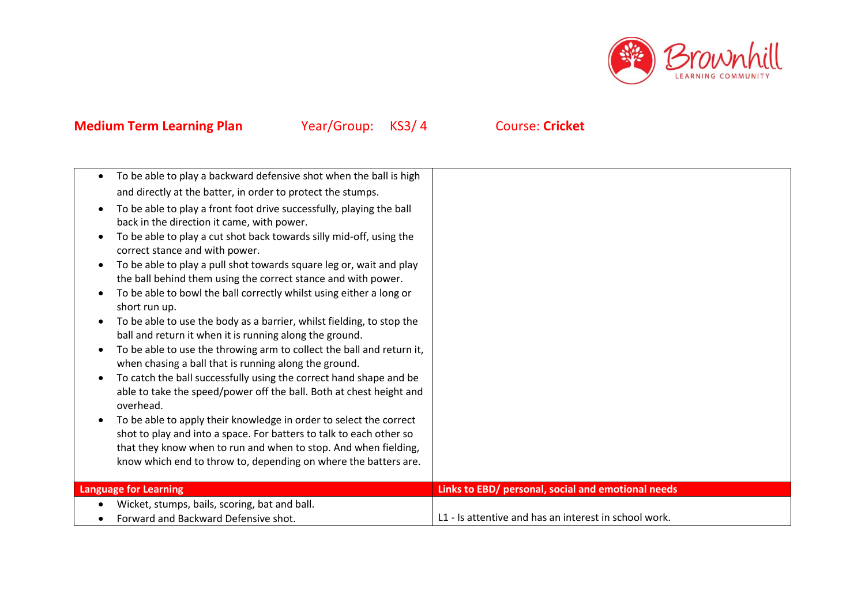

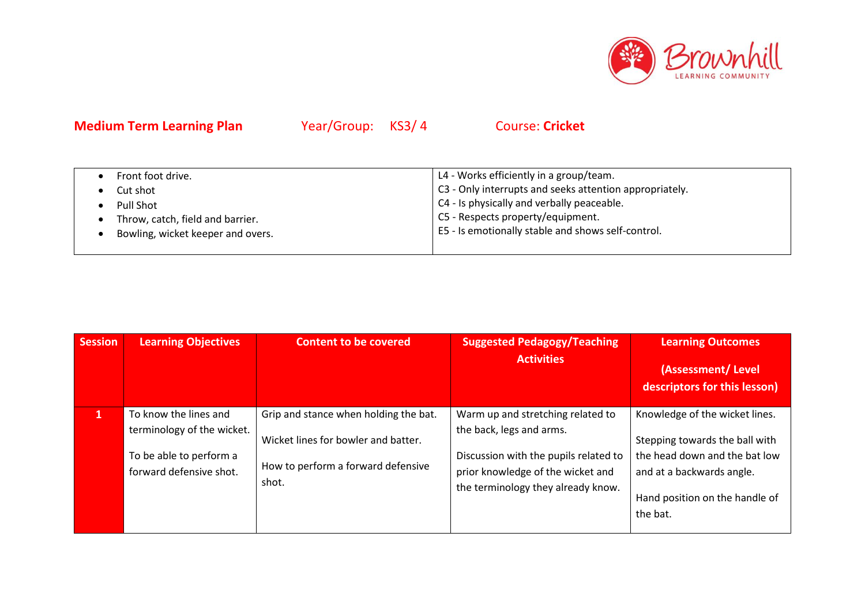

| Front foot drive.                 | L4 - Works efficiently in a group/team.                 |
|-----------------------------------|---------------------------------------------------------|
| Cut shot                          | C3 - Only interrupts and seeks attention appropriately. |
| Pull Shot                         | C4 - Is physically and verbally peaceable.              |
| Throw, catch, field and barrier.  | C5 - Respects property/equipment.                       |
| Bowling, wicket keeper and overs. | E5 - Is emotionally stable and shows self-control.      |
|                                   |                                                         |

| <b>Session</b> | <b>Learning Objectives</b>                                                                                | <b>Content to be covered</b>                                                                                                | <b>Suggested Pedagogy/Teaching</b><br><b>Activities</b>                                                                                                                           | <b>Learning Outcomes</b><br>(Assessment/Level<br>descriptors for this lesson)                                                                                                |
|----------------|-----------------------------------------------------------------------------------------------------------|-----------------------------------------------------------------------------------------------------------------------------|-----------------------------------------------------------------------------------------------------------------------------------------------------------------------------------|------------------------------------------------------------------------------------------------------------------------------------------------------------------------------|
| 1              | To know the lines and<br>terminology of the wicket.<br>To be able to perform a<br>forward defensive shot. | Grip and stance when holding the bat.<br>Wicket lines for bowler and batter.<br>How to perform a forward defensive<br>shot. | Warm up and stretching related to<br>the back, legs and arms.<br>Discussion with the pupils related to<br>prior knowledge of the wicket and<br>the terminology they already know. | Knowledge of the wicket lines.<br>Stepping towards the ball with<br>the head down and the bat low<br>and at a backwards angle.<br>Hand position on the handle of<br>the bat. |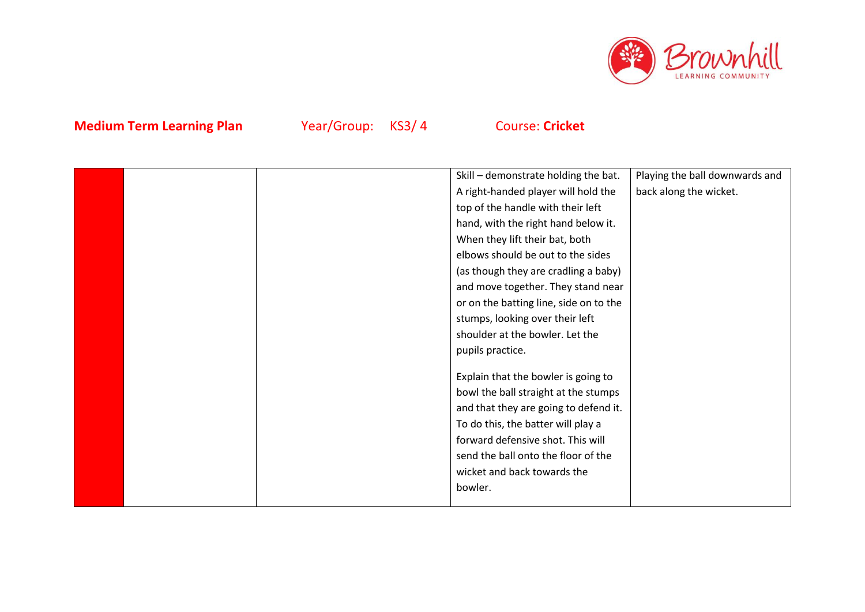

|  | Skill - demonstrate holding the bat.   | Playing the ball downwards and |
|--|----------------------------------------|--------------------------------|
|  | A right-handed player will hold the    | back along the wicket.         |
|  | top of the handle with their left      |                                |
|  | hand, with the right hand below it.    |                                |
|  | When they lift their bat, both         |                                |
|  | elbows should be out to the sides      |                                |
|  | (as though they are cradling a baby)   |                                |
|  | and move together. They stand near     |                                |
|  | or on the batting line, side on to the |                                |
|  | stumps, looking over their left        |                                |
|  | shoulder at the bowler. Let the        |                                |
|  | pupils practice.                       |                                |
|  |                                        |                                |
|  | Explain that the bowler is going to    |                                |
|  | bowl the ball straight at the stumps   |                                |
|  | and that they are going to defend it.  |                                |
|  | To do this, the batter will play a     |                                |
|  | forward defensive shot. This will      |                                |
|  | send the ball onto the floor of the    |                                |
|  | wicket and back towards the            |                                |
|  | bowler.                                |                                |
|  |                                        |                                |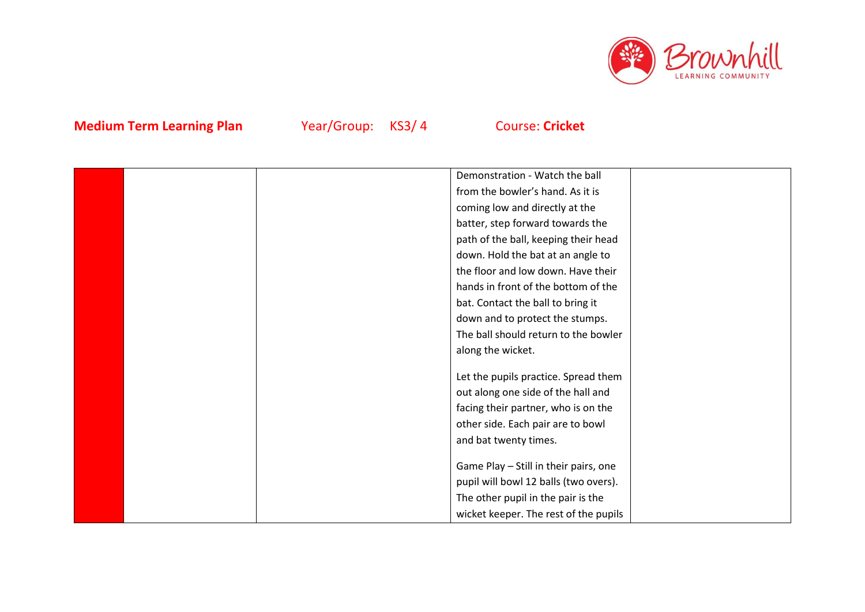

|  | Demonstration - Watch the ball        |  |
|--|---------------------------------------|--|
|  | from the bowler's hand. As it is      |  |
|  | coming low and directly at the        |  |
|  | batter, step forward towards the      |  |
|  | path of the ball, keeping their head  |  |
|  | down. Hold the bat at an angle to     |  |
|  | the floor and low down. Have their    |  |
|  | hands in front of the bottom of the   |  |
|  | bat. Contact the ball to bring it     |  |
|  | down and to protect the stumps.       |  |
|  | The ball should return to the bowler  |  |
|  | along the wicket.                     |  |
|  |                                       |  |
|  | Let the pupils practice. Spread them  |  |
|  | out along one side of the hall and    |  |
|  | facing their partner, who is on the   |  |
|  | other side. Each pair are to bowl     |  |
|  | and bat twenty times.                 |  |
|  |                                       |  |
|  | Game Play - Still in their pairs, one |  |
|  | pupil will bowl 12 balls (two overs). |  |
|  | The other pupil in the pair is the    |  |
|  | wicket keeper. The rest of the pupils |  |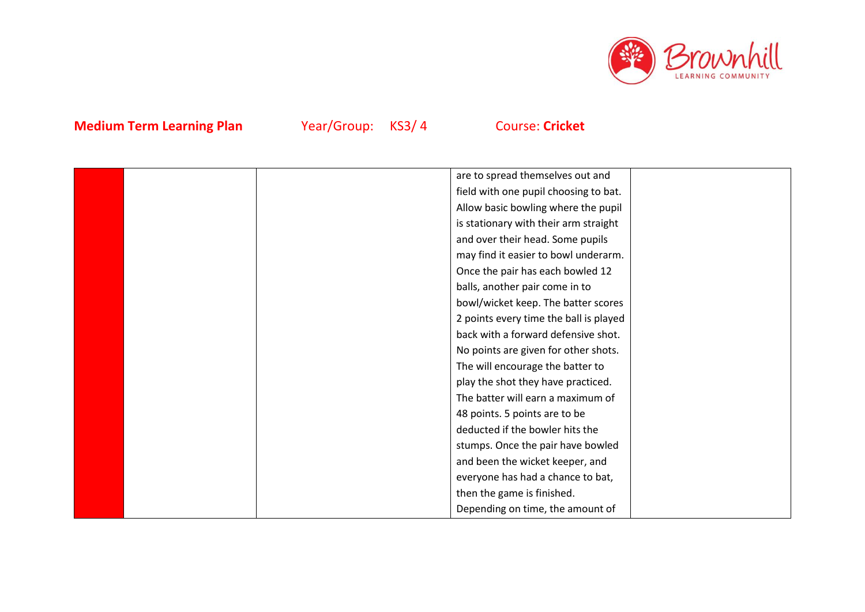

|  | are to spread themselves out and       |  |
|--|----------------------------------------|--|
|  | field with one pupil choosing to bat.  |  |
|  | Allow basic bowling where the pupil    |  |
|  | is stationary with their arm straight  |  |
|  | and over their head. Some pupils       |  |
|  | may find it easier to bowl underarm.   |  |
|  | Once the pair has each bowled 12       |  |
|  | balls, another pair come in to         |  |
|  | bowl/wicket keep. The batter scores    |  |
|  | 2 points every time the ball is played |  |
|  | back with a forward defensive shot.    |  |
|  | No points are given for other shots.   |  |
|  | The will encourage the batter to       |  |
|  | play the shot they have practiced.     |  |
|  | The batter will earn a maximum of      |  |
|  | 48 points. 5 points are to be          |  |
|  | deducted if the bowler hits the        |  |
|  | stumps. Once the pair have bowled      |  |
|  | and been the wicket keeper, and        |  |
|  | everyone has had a chance to bat,      |  |
|  | then the game is finished.             |  |
|  | Depending on time, the amount of       |  |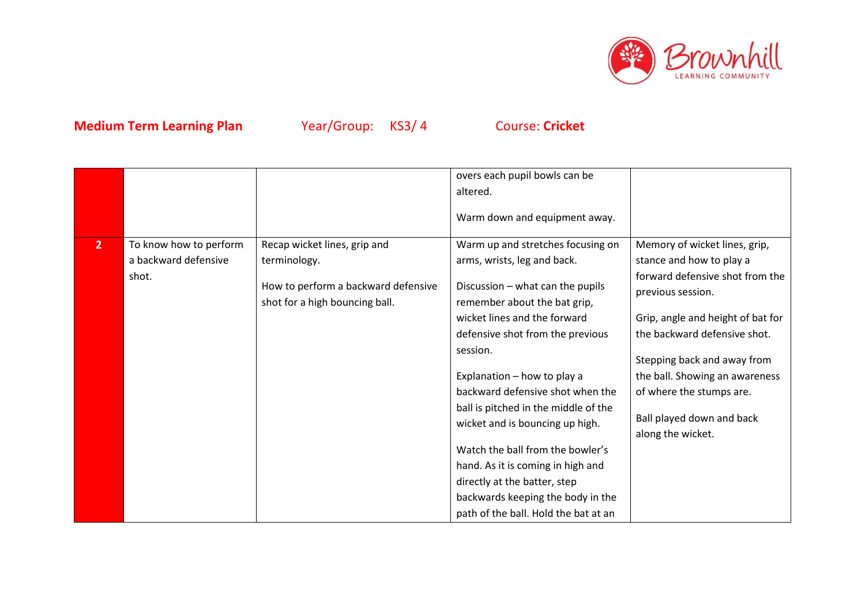

|                |                        |                                                                       | overs each pupil bowls can be                                           |                                                      |
|----------------|------------------------|-----------------------------------------------------------------------|-------------------------------------------------------------------------|------------------------------------------------------|
|                |                        |                                                                       | altered.                                                                |                                                      |
|                |                        |                                                                       | Warm down and equipment away.                                           |                                                      |
| $\overline{2}$ | To know how to perform | Recap wicket lines, grip and                                          | Warm up and stretches focusing on                                       | Memory of wicket lines, grip,                        |
|                | a backward defensive   | terminology.                                                          | arms, wrists, leg and back.                                             | stance and how to play a                             |
|                | shot.                  | How to perform a backward defensive<br>shot for a high bouncing ball. | Discussion - what can the pupils<br>remember about the bat grip,        | forward defensive shot from the<br>previous session. |
|                |                        |                                                                       | wicket lines and the forward                                            | Grip, angle and height of bat for                    |
|                |                        |                                                                       | defensive shot from the previous                                        | the backward defensive shot.                         |
|                |                        |                                                                       | session.                                                                | Stepping back and away from                          |
|                |                        |                                                                       | Explanation - how to play a                                             | the ball. Showing an awareness                       |
|                |                        |                                                                       | backward defensive shot when the                                        | of where the stumps are.                             |
|                |                        |                                                                       | ball is pitched in the middle of the<br>wicket and is bouncing up high. | Ball played down and back<br>along the wicket.       |
|                |                        |                                                                       | Watch the ball from the bowler's                                        |                                                      |
|                |                        |                                                                       | hand. As it is coming in high and                                       |                                                      |
|                |                        |                                                                       | directly at the batter, step                                            |                                                      |
|                |                        |                                                                       | backwards keeping the body in the                                       |                                                      |
|                |                        |                                                                       | path of the ball. Hold the bat at an                                    |                                                      |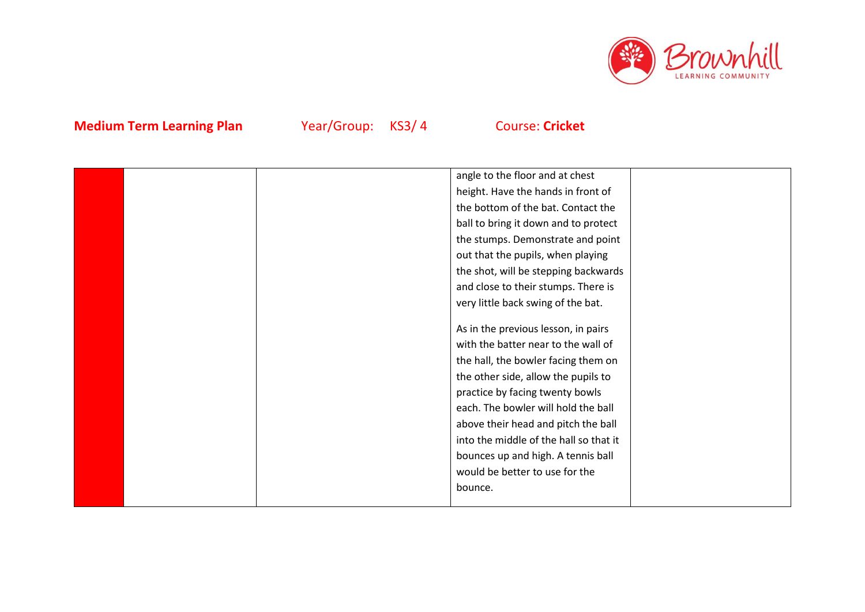

|  | angle to the floor and at chest        |  |
|--|----------------------------------------|--|
|  | height. Have the hands in front of     |  |
|  | the bottom of the bat. Contact the     |  |
|  | ball to bring it down and to protect   |  |
|  | the stumps. Demonstrate and point      |  |
|  | out that the pupils, when playing      |  |
|  | the shot, will be stepping backwards   |  |
|  | and close to their stumps. There is    |  |
|  | very little back swing of the bat.     |  |
|  |                                        |  |
|  | As in the previous lesson, in pairs    |  |
|  | with the batter near to the wall of    |  |
|  | the hall, the bowler facing them on    |  |
|  | the other side, allow the pupils to    |  |
|  | practice by facing twenty bowls        |  |
|  | each. The bowler will hold the ball    |  |
|  | above their head and pitch the ball    |  |
|  | into the middle of the hall so that it |  |
|  | bounces up and high. A tennis ball     |  |
|  | would be better to use for the         |  |
|  | bounce.                                |  |
|  |                                        |  |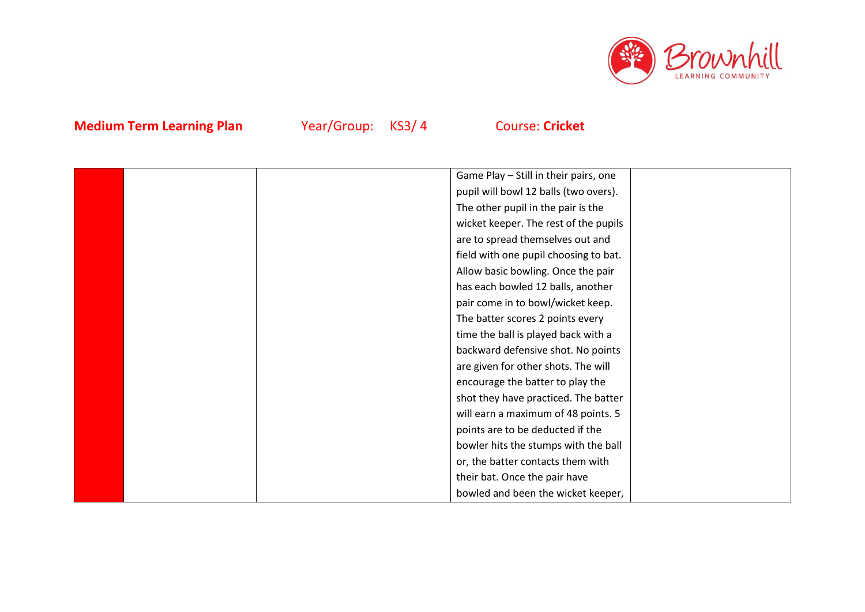

| Game Play - Still in their pairs, one<br>pupil will bowl 12 balls (two overs).<br>The other pupil in the pair is the<br>wicket keeper. The rest of the pupils<br>are to spread themselves out and<br>field with one pupil choosing to bat.<br>Allow basic bowling. Once the pair<br>has each bowled 12 balls, another<br>pair come in to bowl/wicket keep.<br>The batter scores 2 points every<br>time the ball is played back with a<br>backward defensive shot. No points<br>are given for other shots. The will<br>encourage the batter to play the<br>shot they have practiced. The batter<br>will earn a maximum of 48 points. 5<br>points are to be deducted if the<br>bowler hits the stumps with the ball<br>or, the batter contacts them with<br>their bat. Once the pair have<br>bowled and been the wicket keeper, |  |  |  |
|-------------------------------------------------------------------------------------------------------------------------------------------------------------------------------------------------------------------------------------------------------------------------------------------------------------------------------------------------------------------------------------------------------------------------------------------------------------------------------------------------------------------------------------------------------------------------------------------------------------------------------------------------------------------------------------------------------------------------------------------------------------------------------------------------------------------------------|--|--|--|
|                                                                                                                                                                                                                                                                                                                                                                                                                                                                                                                                                                                                                                                                                                                                                                                                                               |  |  |  |
|                                                                                                                                                                                                                                                                                                                                                                                                                                                                                                                                                                                                                                                                                                                                                                                                                               |  |  |  |
|                                                                                                                                                                                                                                                                                                                                                                                                                                                                                                                                                                                                                                                                                                                                                                                                                               |  |  |  |
|                                                                                                                                                                                                                                                                                                                                                                                                                                                                                                                                                                                                                                                                                                                                                                                                                               |  |  |  |
|                                                                                                                                                                                                                                                                                                                                                                                                                                                                                                                                                                                                                                                                                                                                                                                                                               |  |  |  |
|                                                                                                                                                                                                                                                                                                                                                                                                                                                                                                                                                                                                                                                                                                                                                                                                                               |  |  |  |
|                                                                                                                                                                                                                                                                                                                                                                                                                                                                                                                                                                                                                                                                                                                                                                                                                               |  |  |  |
|                                                                                                                                                                                                                                                                                                                                                                                                                                                                                                                                                                                                                                                                                                                                                                                                                               |  |  |  |
|                                                                                                                                                                                                                                                                                                                                                                                                                                                                                                                                                                                                                                                                                                                                                                                                                               |  |  |  |
|                                                                                                                                                                                                                                                                                                                                                                                                                                                                                                                                                                                                                                                                                                                                                                                                                               |  |  |  |
|                                                                                                                                                                                                                                                                                                                                                                                                                                                                                                                                                                                                                                                                                                                                                                                                                               |  |  |  |
|                                                                                                                                                                                                                                                                                                                                                                                                                                                                                                                                                                                                                                                                                                                                                                                                                               |  |  |  |
|                                                                                                                                                                                                                                                                                                                                                                                                                                                                                                                                                                                                                                                                                                                                                                                                                               |  |  |  |
|                                                                                                                                                                                                                                                                                                                                                                                                                                                                                                                                                                                                                                                                                                                                                                                                                               |  |  |  |
|                                                                                                                                                                                                                                                                                                                                                                                                                                                                                                                                                                                                                                                                                                                                                                                                                               |  |  |  |
|                                                                                                                                                                                                                                                                                                                                                                                                                                                                                                                                                                                                                                                                                                                                                                                                                               |  |  |  |
|                                                                                                                                                                                                                                                                                                                                                                                                                                                                                                                                                                                                                                                                                                                                                                                                                               |  |  |  |
|                                                                                                                                                                                                                                                                                                                                                                                                                                                                                                                                                                                                                                                                                                                                                                                                                               |  |  |  |
|                                                                                                                                                                                                                                                                                                                                                                                                                                                                                                                                                                                                                                                                                                                                                                                                                               |  |  |  |
|                                                                                                                                                                                                                                                                                                                                                                                                                                                                                                                                                                                                                                                                                                                                                                                                                               |  |  |  |
|                                                                                                                                                                                                                                                                                                                                                                                                                                                                                                                                                                                                                                                                                                                                                                                                                               |  |  |  |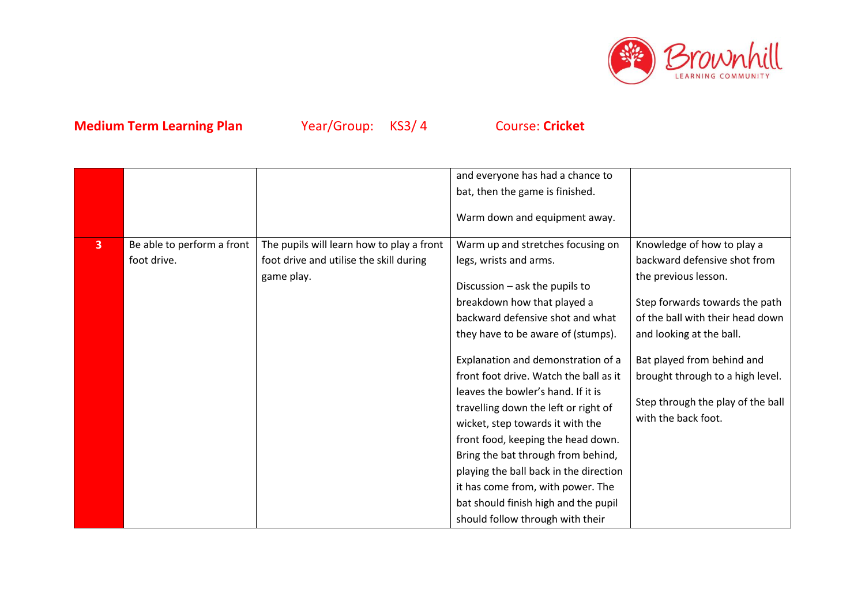

|   |                            |                                           | and everyone has had a chance to                                                                                                                                                                                                                                                                                                                                                                                                      |                                                                                                                            |
|---|----------------------------|-------------------------------------------|---------------------------------------------------------------------------------------------------------------------------------------------------------------------------------------------------------------------------------------------------------------------------------------------------------------------------------------------------------------------------------------------------------------------------------------|----------------------------------------------------------------------------------------------------------------------------|
|   |                            |                                           | bat, then the game is finished.                                                                                                                                                                                                                                                                                                                                                                                                       |                                                                                                                            |
|   |                            |                                           | Warm down and equipment away.                                                                                                                                                                                                                                                                                                                                                                                                         |                                                                                                                            |
| 3 | Be able to perform a front | The pupils will learn how to play a front | Warm up and stretches focusing on                                                                                                                                                                                                                                                                                                                                                                                                     | Knowledge of how to play a                                                                                                 |
|   | foot drive.                | foot drive and utilise the skill during   | legs, wrists and arms.                                                                                                                                                                                                                                                                                                                                                                                                                | backward defensive shot from                                                                                               |
|   |                            | game play.                                | Discussion - ask the pupils to                                                                                                                                                                                                                                                                                                                                                                                                        | the previous lesson.                                                                                                       |
|   |                            |                                           | breakdown how that played a                                                                                                                                                                                                                                                                                                                                                                                                           | Step forwards towards the path                                                                                             |
|   |                            |                                           | backward defensive shot and what                                                                                                                                                                                                                                                                                                                                                                                                      | of the ball with their head down                                                                                           |
|   |                            |                                           | they have to be aware of (stumps).                                                                                                                                                                                                                                                                                                                                                                                                    | and looking at the ball.                                                                                                   |
|   |                            |                                           | Explanation and demonstration of a<br>front foot drive. Watch the ball as it<br>leaves the bowler's hand. If it is<br>travelling down the left or right of<br>wicket, step towards it with the<br>front food, keeping the head down.<br>Bring the bat through from behind,<br>playing the ball back in the direction<br>it has come from, with power. The<br>bat should finish high and the pupil<br>should follow through with their | Bat played from behind and<br>brought through to a high level.<br>Step through the play of the ball<br>with the back foot. |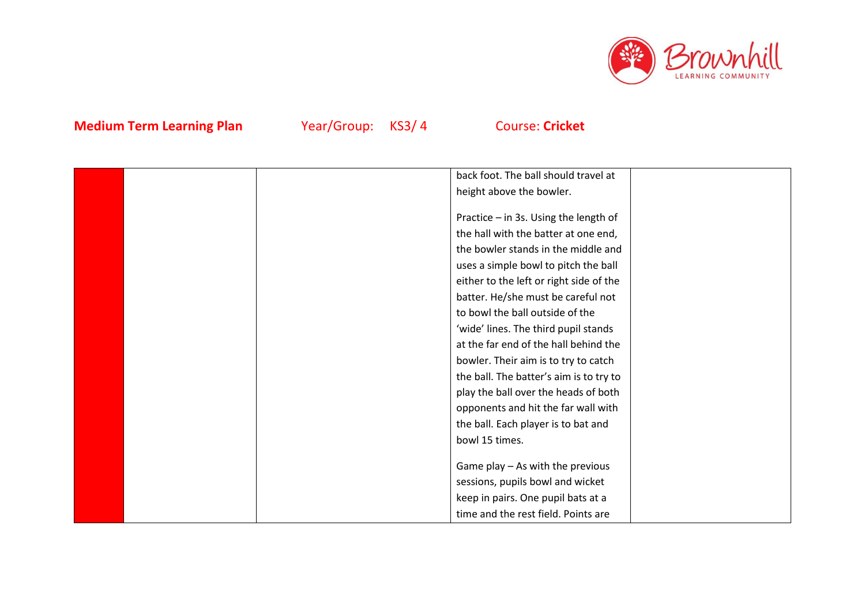

| back foot. The ball should travel at    |  |
|-----------------------------------------|--|
| height above the bowler.                |  |
|                                         |  |
| Practice - in 3s. Using the length of   |  |
| the hall with the batter at one end,    |  |
| the bowler stands in the middle and     |  |
| uses a simple bowl to pitch the ball    |  |
| either to the left or right side of the |  |
| batter. He/she must be careful not      |  |
| to bowl the ball outside of the         |  |
| 'wide' lines. The third pupil stands    |  |
| at the far end of the hall behind the   |  |
| bowler. Their aim is to try to catch    |  |
| the ball. The batter's aim is to try to |  |
| play the ball over the heads of both    |  |
| opponents and hit the far wall with     |  |
| the ball. Each player is to bat and     |  |
| bowl 15 times.                          |  |
|                                         |  |
| Game play - As with the previous        |  |
| sessions, pupils bowl and wicket        |  |
| keep in pairs. One pupil bats at a      |  |
| time and the rest field. Points are     |  |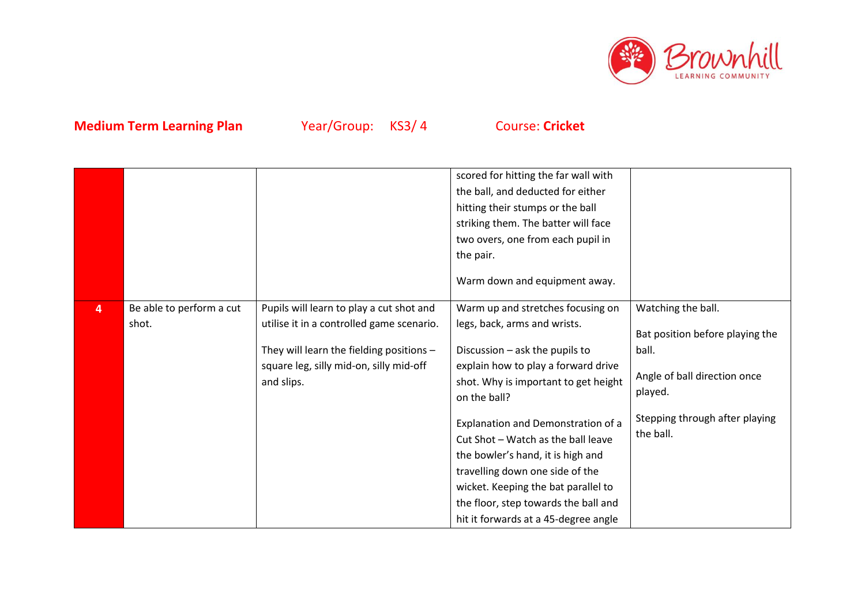

|                |                                   |                                                                                                                                                                                            | scored for hitting the far wall with<br>the ball, and deducted for either<br>hitting their stumps or the ball<br>striking them. The batter will face<br>two overs, one from each pupil in<br>the pair.<br>Warm down and equipment away.                                                                                                                                                                                                                                       |                                                                                                                                                          |
|----------------|-----------------------------------|--------------------------------------------------------------------------------------------------------------------------------------------------------------------------------------------|-------------------------------------------------------------------------------------------------------------------------------------------------------------------------------------------------------------------------------------------------------------------------------------------------------------------------------------------------------------------------------------------------------------------------------------------------------------------------------|----------------------------------------------------------------------------------------------------------------------------------------------------------|
| $\overline{4}$ | Be able to perform a cut<br>shot. | Pupils will learn to play a cut shot and<br>utilise it in a controlled game scenario.<br>They will learn the fielding positions -<br>square leg, silly mid-on, silly mid-off<br>and slips. | Warm up and stretches focusing on<br>legs, back, arms and wrists.<br>Discussion - ask the pupils to<br>explain how to play a forward drive<br>shot. Why is important to get height<br>on the ball?<br>Explanation and Demonstration of a<br>Cut Shot - Watch as the ball leave<br>the bowler's hand, it is high and<br>travelling down one side of the<br>wicket. Keeping the bat parallel to<br>the floor, step towards the ball and<br>hit it forwards at a 45-degree angle | Watching the ball.<br>Bat position before playing the<br>ball.<br>Angle of ball direction once<br>played.<br>Stepping through after playing<br>the ball. |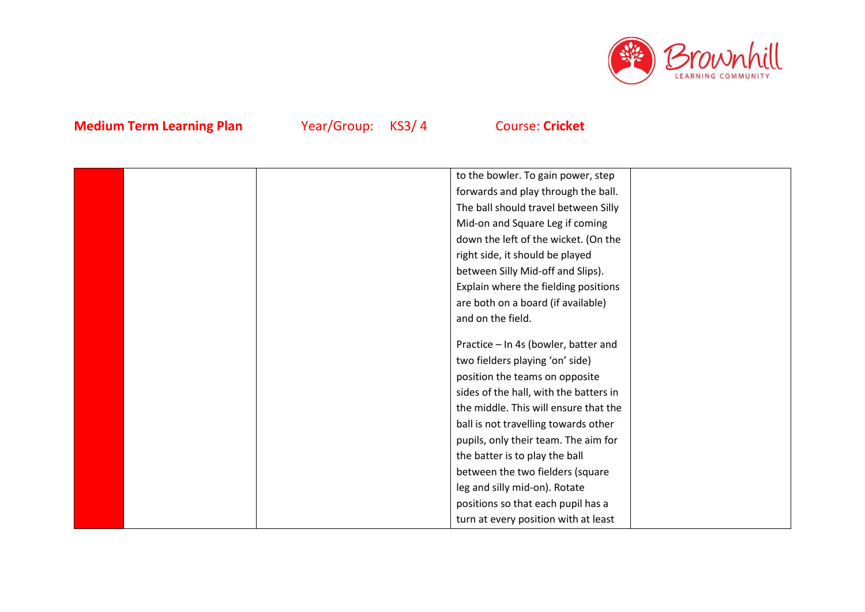

|  | to the bowler. To gain power, step     |  |
|--|----------------------------------------|--|
|  | forwards and play through the ball.    |  |
|  | The ball should travel between Silly   |  |
|  | Mid-on and Square Leg if coming        |  |
|  | down the left of the wicket. (On the   |  |
|  | right side, it should be played        |  |
|  | between Silly Mid-off and Slips).      |  |
|  | Explain where the fielding positions   |  |
|  | are both on a board (if available)     |  |
|  | and on the field.                      |  |
|  |                                        |  |
|  | Practice - In 4s (bowler, batter and   |  |
|  | two fielders playing 'on' side)        |  |
|  | position the teams on opposite         |  |
|  | sides of the hall, with the batters in |  |
|  | the middle. This will ensure that the  |  |
|  | ball is not travelling towards other   |  |
|  | pupils, only their team. The aim for   |  |
|  | the batter is to play the ball         |  |
|  | between the two fielders (square       |  |
|  | leg and silly mid-on). Rotate          |  |
|  | positions so that each pupil has a     |  |
|  | turn at every position with at least   |  |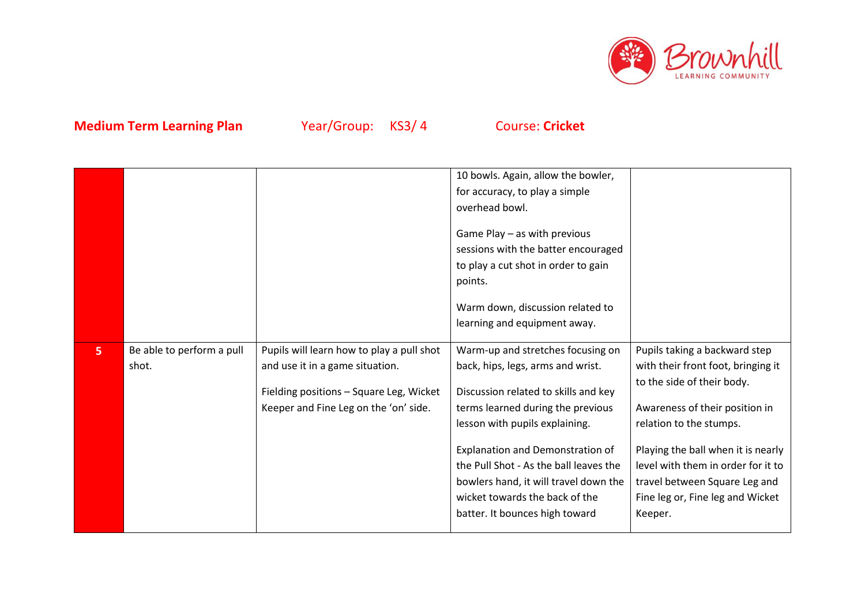

|   | Be able to perform a pull |                                                                                                                                                                  | 10 bowls. Again, allow the bowler,<br>for accuracy, to play a simple<br>overhead bowl.<br>Game Play - as with previous<br>sessions with the batter encouraged<br>to play a cut shot in order to gain<br>points.<br>Warm down, discussion related to<br>learning and equipment away.                          | Pupils taking a backward step                                                                                                                                                                                                              |
|---|---------------------------|------------------------------------------------------------------------------------------------------------------------------------------------------------------|--------------------------------------------------------------------------------------------------------------------------------------------------------------------------------------------------------------------------------------------------------------------------------------------------------------|--------------------------------------------------------------------------------------------------------------------------------------------------------------------------------------------------------------------------------------------|
| 5 | shot.                     | Pupils will learn how to play a pull shot<br>and use it in a game situation.<br>Fielding positions - Square Leg, Wicket<br>Keeper and Fine Leg on the 'on' side. | Warm-up and stretches focusing on<br>back, hips, legs, arms and wrist.<br>Discussion related to skills and key<br>terms learned during the previous<br>lesson with pupils explaining.<br>Explanation and Demonstration of<br>the Pull Shot - As the ball leaves the<br>bowlers hand, it will travel down the | with their front foot, bringing it<br>to the side of their body.<br>Awareness of their position in<br>relation to the stumps.<br>Playing the ball when it is nearly<br>level with them in order for it to<br>travel between Square Leg and |
|   |                           |                                                                                                                                                                  | wicket towards the back of the<br>batter. It bounces high toward                                                                                                                                                                                                                                             | Fine leg or, Fine leg and Wicket<br>Keeper.                                                                                                                                                                                                |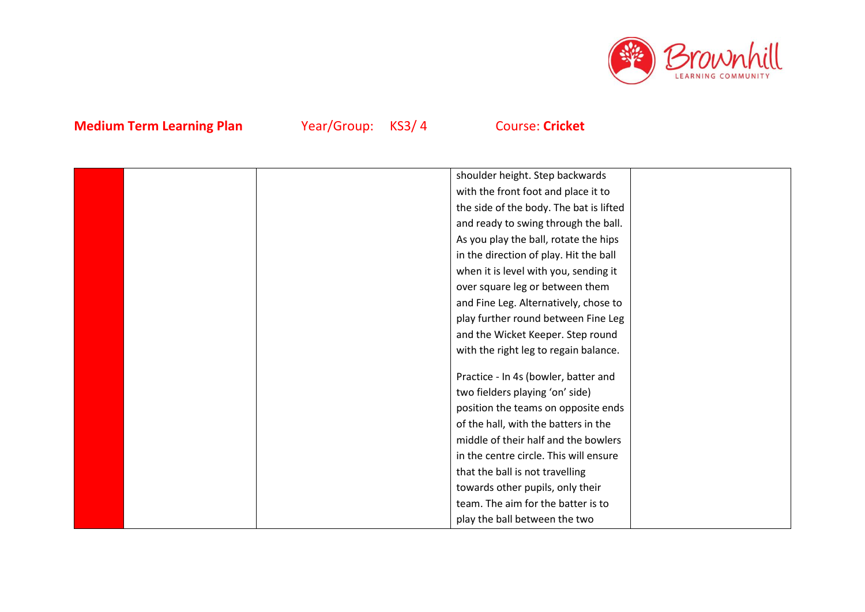

|  | shoulder height. Step backwards         |  |
|--|-----------------------------------------|--|
|  | with the front foot and place it to     |  |
|  | the side of the body. The bat is lifted |  |
|  | and ready to swing through the ball.    |  |
|  | As you play the ball, rotate the hips   |  |
|  | in the direction of play. Hit the ball  |  |
|  | when it is level with you, sending it   |  |
|  | over square leg or between them         |  |
|  | and Fine Leg. Alternatively, chose to   |  |
|  | play further round between Fine Leg     |  |
|  | and the Wicket Keeper. Step round       |  |
|  | with the right leg to regain balance.   |  |
|  |                                         |  |
|  | Practice - In 4s (bowler, batter and    |  |
|  | two fielders playing 'on' side)         |  |
|  | position the teams on opposite ends     |  |
|  | of the hall, with the batters in the    |  |
|  | middle of their half and the bowlers    |  |
|  | in the centre circle. This will ensure  |  |
|  | that the ball is not travelling         |  |
|  | towards other pupils, only their        |  |
|  | team. The aim for the batter is to      |  |
|  | play the ball between the two           |  |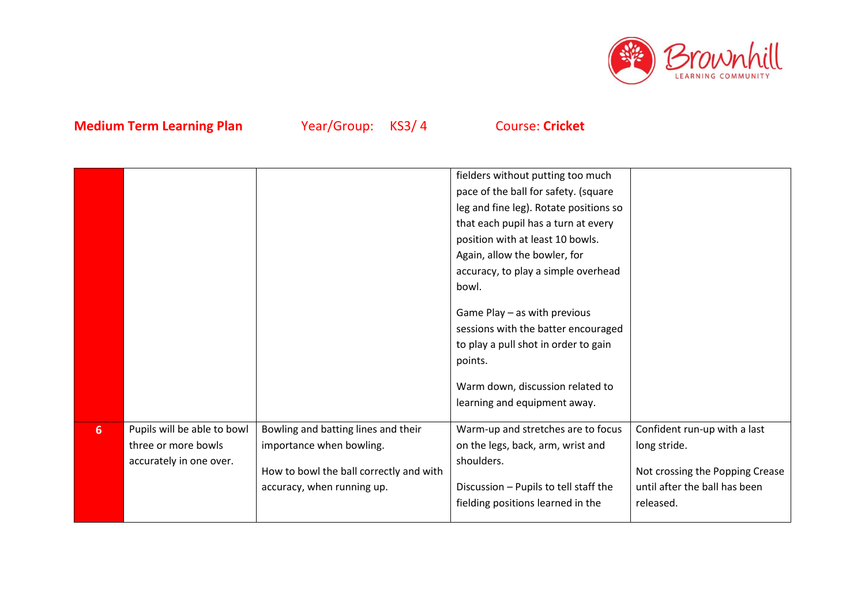

|                  |                             |                                         | fielders without putting too much      |                                 |
|------------------|-----------------------------|-----------------------------------------|----------------------------------------|---------------------------------|
|                  |                             |                                         |                                        |                                 |
|                  |                             |                                         | pace of the ball for safety. (square   |                                 |
|                  |                             |                                         | leg and fine leg). Rotate positions so |                                 |
|                  |                             |                                         | that each pupil has a turn at every    |                                 |
|                  |                             |                                         | position with at least 10 bowls.       |                                 |
|                  |                             |                                         | Again, allow the bowler, for           |                                 |
|                  |                             |                                         | accuracy, to play a simple overhead    |                                 |
|                  |                             |                                         | bowl.                                  |                                 |
|                  |                             |                                         |                                        |                                 |
|                  |                             |                                         | Game Play - as with previous           |                                 |
|                  |                             |                                         | sessions with the batter encouraged    |                                 |
|                  |                             |                                         | to play a pull shot in order to gain   |                                 |
|                  |                             |                                         | points.                                |                                 |
|                  |                             |                                         |                                        |                                 |
|                  |                             |                                         | Warm down, discussion related to       |                                 |
|                  |                             |                                         | learning and equipment away.           |                                 |
|                  |                             |                                         |                                        |                                 |
| $6 \overline{6}$ | Pupils will be able to bowl | Bowling and batting lines and their     | Warm-up and stretches are to focus     | Confident run-up with a last    |
|                  | three or more bowls         | importance when bowling.                | on the legs, back, arm, wrist and      | long stride.                    |
|                  | accurately in one over.     |                                         | shoulders.                             |                                 |
|                  |                             | How to bowl the ball correctly and with |                                        | Not crossing the Popping Crease |
|                  |                             | accuracy, when running up.              | Discussion - Pupils to tell staff the  | until after the ball has been   |
|                  |                             |                                         | fielding positions learned in the      | released.                       |
|                  |                             |                                         |                                        |                                 |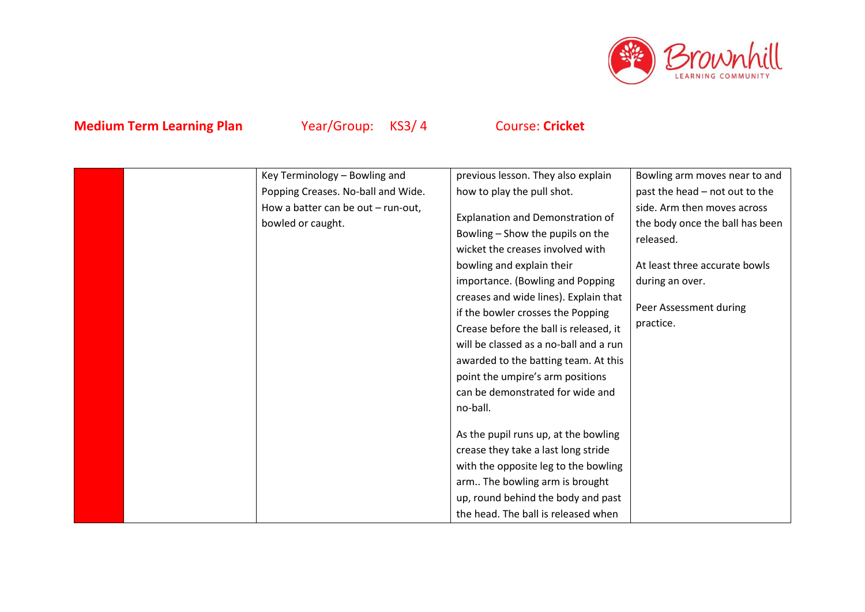

|  | Key Terminology - Bowling and      | previous lesson. They also explain     | Bowling arm moves near to and   |
|--|------------------------------------|----------------------------------------|---------------------------------|
|  | Popping Creases. No-ball and Wide. | how to play the pull shot.             | past the head - not out to the  |
|  | How a batter can be out - run-out, |                                        | side. Arm then moves across     |
|  | bowled or caught.                  | Explanation and Demonstration of       | the body once the ball has been |
|  |                                    | Bowling - Show the pupils on the       | released.                       |
|  |                                    | wicket the creases involved with       |                                 |
|  |                                    | bowling and explain their              | At least three accurate bowls   |
|  |                                    | importance. (Bowling and Popping       | during an over.                 |
|  |                                    | creases and wide lines). Explain that  |                                 |
|  |                                    | if the bowler crosses the Popping      | Peer Assessment during          |
|  |                                    | Crease before the ball is released, it | practice.                       |
|  |                                    | will be classed as a no-ball and a run |                                 |
|  |                                    | awarded to the batting team. At this   |                                 |
|  |                                    | point the umpire's arm positions       |                                 |
|  |                                    | can be demonstrated for wide and       |                                 |
|  |                                    | no-ball.                               |                                 |
|  |                                    |                                        |                                 |
|  |                                    | As the pupil runs up, at the bowling   |                                 |
|  |                                    | crease they take a last long stride    |                                 |
|  |                                    | with the opposite leg to the bowling   |                                 |
|  |                                    | arm The bowling arm is brought         |                                 |
|  |                                    | up, round behind the body and past     |                                 |
|  |                                    | the head. The ball is released when    |                                 |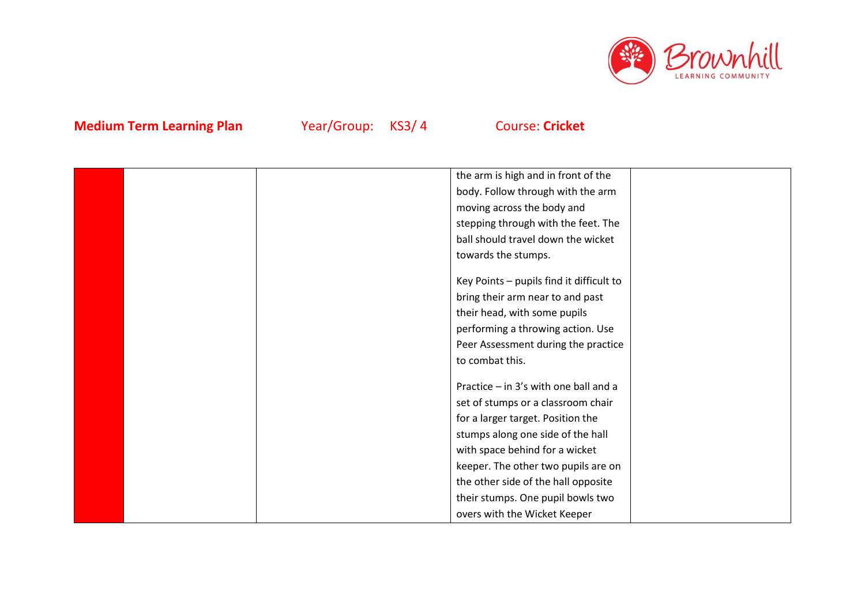

|  | the arm is high and in front of the      |  |
|--|------------------------------------------|--|
|  | body. Follow through with the arm        |  |
|  | moving across the body and               |  |
|  | stepping through with the feet. The      |  |
|  | ball should travel down the wicket       |  |
|  | towards the stumps.                      |  |
|  | Key Points - pupils find it difficult to |  |
|  | bring their arm near to and past         |  |
|  | their head, with some pupils             |  |
|  | performing a throwing action. Use        |  |
|  | Peer Assessment during the practice      |  |
|  | to combat this.                          |  |
|  | Practice - in 3's with one ball and a    |  |
|  | set of stumps or a classroom chair       |  |
|  | for a larger target. Position the        |  |
|  | stumps along one side of the hall        |  |
|  | with space behind for a wicket           |  |
|  | keeper. The other two pupils are on      |  |
|  | the other side of the hall opposite      |  |
|  | their stumps. One pupil bowls two        |  |
|  | overs with the Wicket Keeper             |  |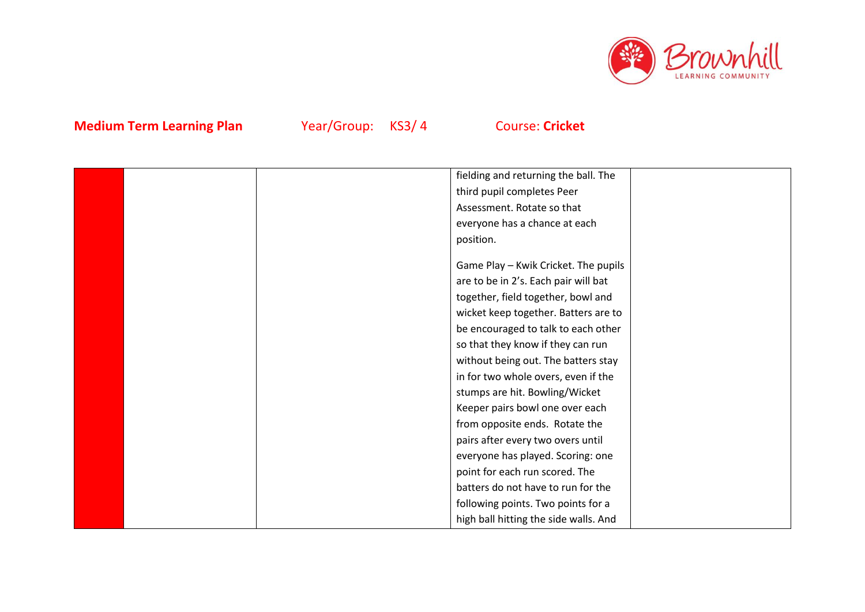

|  | fielding and returning the ball. The  |  |
|--|---------------------------------------|--|
|  | third pupil completes Peer            |  |
|  | Assessment. Rotate so that            |  |
|  | everyone has a chance at each         |  |
|  | position.                             |  |
|  |                                       |  |
|  | Game Play - Kwik Cricket. The pupils  |  |
|  | are to be in 2's. Each pair will bat  |  |
|  | together, field together, bowl and    |  |
|  | wicket keep together. Batters are to  |  |
|  | be encouraged to talk to each other   |  |
|  | so that they know if they can run     |  |
|  | without being out. The batters stay   |  |
|  | in for two whole overs, even if the   |  |
|  | stumps are hit. Bowling/Wicket        |  |
|  | Keeper pairs bowl one over each       |  |
|  | from opposite ends. Rotate the        |  |
|  | pairs after every two overs until     |  |
|  | everyone has played. Scoring: one     |  |
|  | point for each run scored. The        |  |
|  | batters do not have to run for the    |  |
|  | following points. Two points for a    |  |
|  | high ball hitting the side walls. And |  |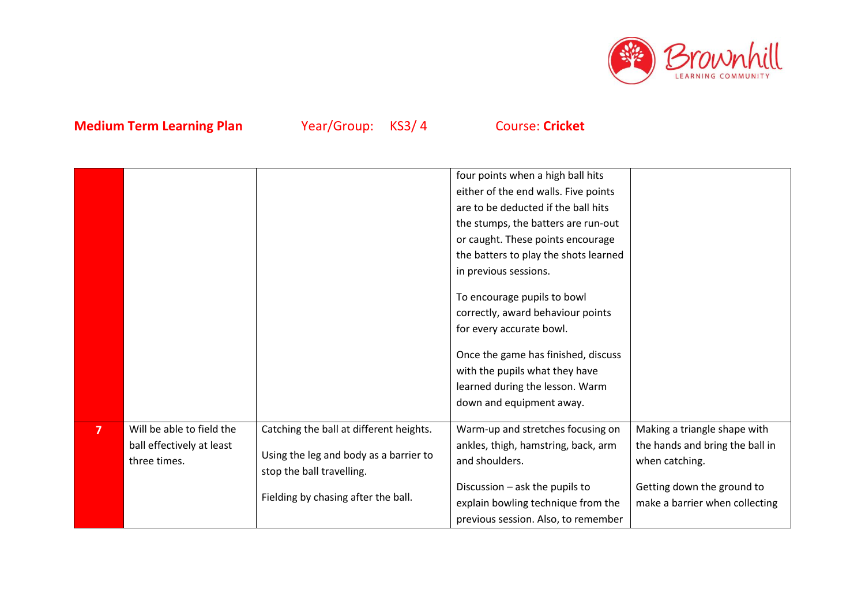

|   |                                                                        |                                                                                                                | four points when a high ball hits<br>either of the end walls. Five points<br>are to be deducted if the ball hits<br>the stumps, the batters are run-out<br>or caught. These points encourage<br>the batters to play the shots learned<br>in previous sessions.<br>To encourage pupils to bowl<br>correctly, award behaviour points<br>for every accurate bowl.<br>Once the game has finished, discuss<br>with the pupils what they have<br>learned during the lesson. Warm<br>down and equipment away. |                                                                                   |
|---|------------------------------------------------------------------------|----------------------------------------------------------------------------------------------------------------|--------------------------------------------------------------------------------------------------------------------------------------------------------------------------------------------------------------------------------------------------------------------------------------------------------------------------------------------------------------------------------------------------------------------------------------------------------------------------------------------------------|-----------------------------------------------------------------------------------|
| 7 | Will be able to field the<br>ball effectively at least<br>three times. | Catching the ball at different heights.<br>Using the leg and body as a barrier to<br>stop the ball travelling. | Warm-up and stretches focusing on<br>ankles, thigh, hamstring, back, arm<br>and shoulders.                                                                                                                                                                                                                                                                                                                                                                                                             | Making a triangle shape with<br>the hands and bring the ball in<br>when catching. |
|   |                                                                        | Fielding by chasing after the ball.                                                                            | Discussion - ask the pupils to<br>explain bowling technique from the<br>previous session. Also, to remember                                                                                                                                                                                                                                                                                                                                                                                            | Getting down the ground to<br>make a barrier when collecting                      |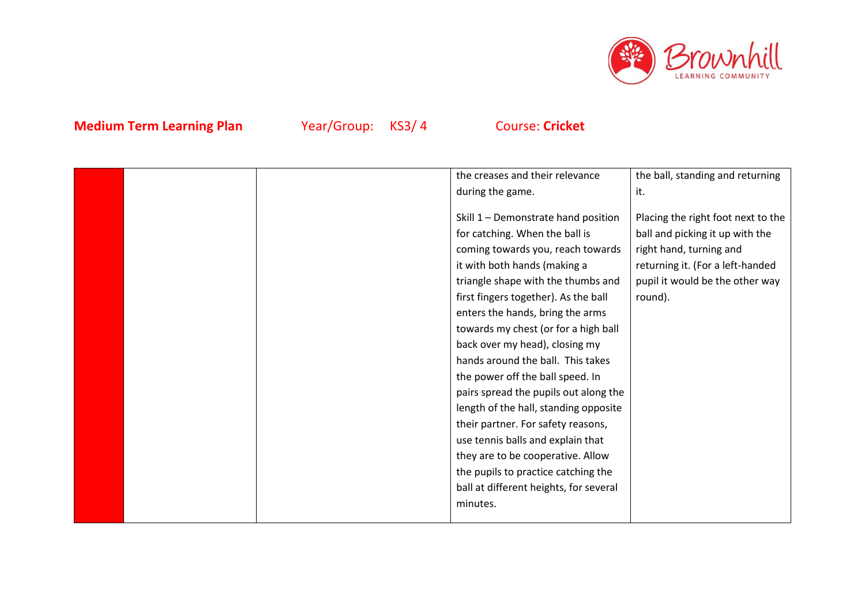

|  | the creases and their relevance        | the ball, standing and returning   |
|--|----------------------------------------|------------------------------------|
|  | during the game.                       | it.                                |
|  |                                        |                                    |
|  | Skill 1 - Demonstrate hand position    | Placing the right foot next to the |
|  | for catching. When the ball is         | ball and picking it up with the    |
|  | coming towards you, reach towards      | right hand, turning and            |
|  | it with both hands (making a           | returning it. (For a left-handed   |
|  | triangle shape with the thumbs and     | pupil it would be the other way    |
|  | first fingers together). As the ball   | round).                            |
|  | enters the hands, bring the arms       |                                    |
|  | towards my chest (or for a high ball   |                                    |
|  | back over my head), closing my         |                                    |
|  | hands around the ball. This takes      |                                    |
|  | the power off the ball speed. In       |                                    |
|  | pairs spread the pupils out along the  |                                    |
|  | length of the hall, standing opposite  |                                    |
|  | their partner. For safety reasons,     |                                    |
|  | use tennis balls and explain that      |                                    |
|  | they are to be cooperative. Allow      |                                    |
|  | the pupils to practice catching the    |                                    |
|  | ball at different heights, for several |                                    |
|  | minutes.                               |                                    |
|  |                                        |                                    |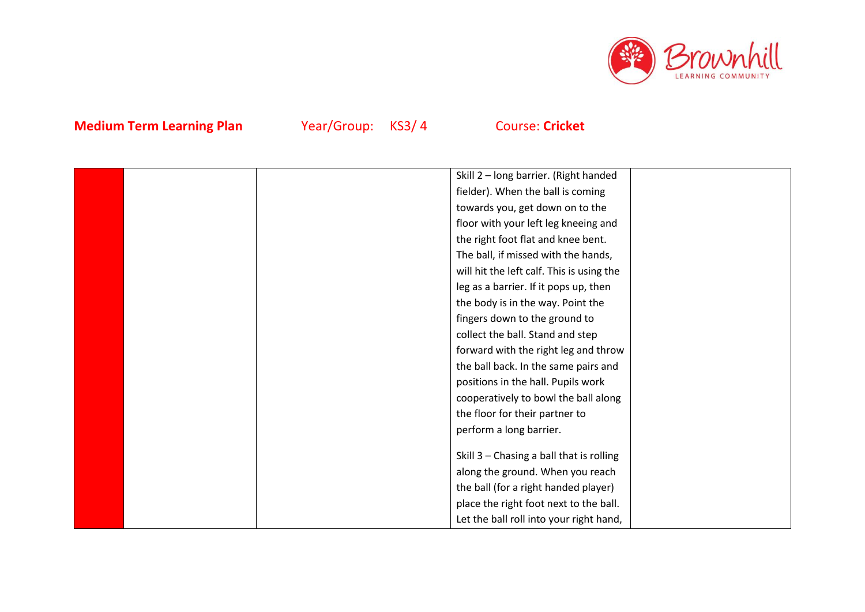

|  | Skill 2 - long barrier. (Right handed     |  |
|--|-------------------------------------------|--|
|  | fielder). When the ball is coming         |  |
|  | towards you, get down on to the           |  |
|  | floor with your left leg kneeing and      |  |
|  | the right foot flat and knee bent.        |  |
|  | The ball, if missed with the hands,       |  |
|  | will hit the left calf. This is using the |  |
|  | leg as a barrier. If it pops up, then     |  |
|  | the body is in the way. Point the         |  |
|  | fingers down to the ground to             |  |
|  | collect the ball. Stand and step          |  |
|  | forward with the right leg and throw      |  |
|  | the ball back. In the same pairs and      |  |
|  | positions in the hall. Pupils work        |  |
|  | cooperatively to bowl the ball along      |  |
|  | the floor for their partner to            |  |
|  | perform a long barrier.                   |  |
|  |                                           |  |
|  | Skill 3 - Chasing a ball that is rolling  |  |
|  | along the ground. When you reach          |  |
|  | the ball (for a right handed player)      |  |
|  | place the right foot next to the ball.    |  |
|  | Let the ball roll into your right hand,   |  |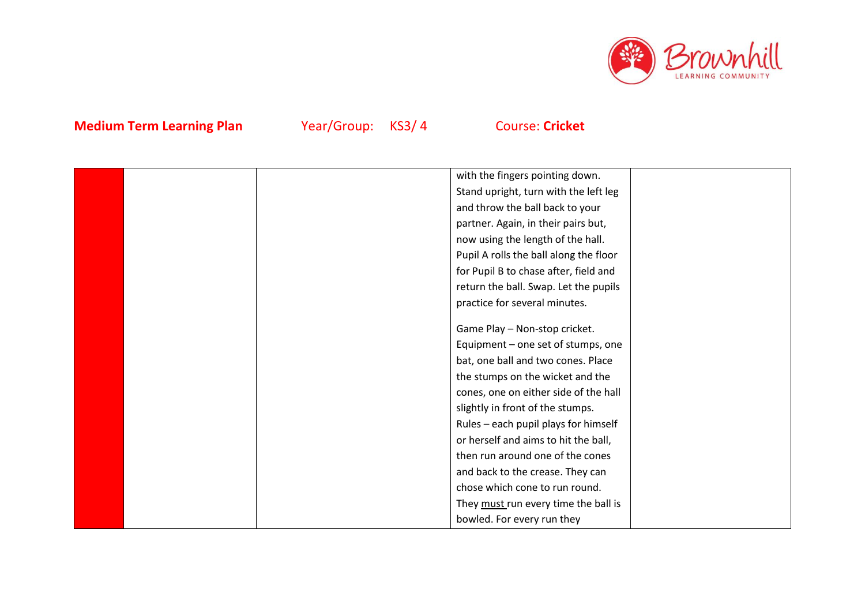

|  | with the fingers pointing down.        |  |
|--|----------------------------------------|--|
|  | Stand upright, turn with the left leg  |  |
|  | and throw the ball back to your        |  |
|  | partner. Again, in their pairs but,    |  |
|  | now using the length of the hall.      |  |
|  | Pupil A rolls the ball along the floor |  |
|  | for Pupil B to chase after, field and  |  |
|  | return the ball. Swap. Let the pupils  |  |
|  | practice for several minutes.          |  |
|  |                                        |  |
|  | Game Play - Non-stop cricket.          |  |
|  | Equipment – one set of stumps, one     |  |
|  | bat, one ball and two cones. Place     |  |
|  | the stumps on the wicket and the       |  |
|  | cones, one on either side of the hall  |  |
|  | slightly in front of the stumps.       |  |
|  | Rules - each pupil plays for himself   |  |
|  | or herself and aims to hit the ball,   |  |
|  | then run around one of the cones       |  |
|  | and back to the crease. They can       |  |
|  | chose which cone to run round.         |  |
|  | They must run every time the ball is   |  |
|  | bowled. For every run they             |  |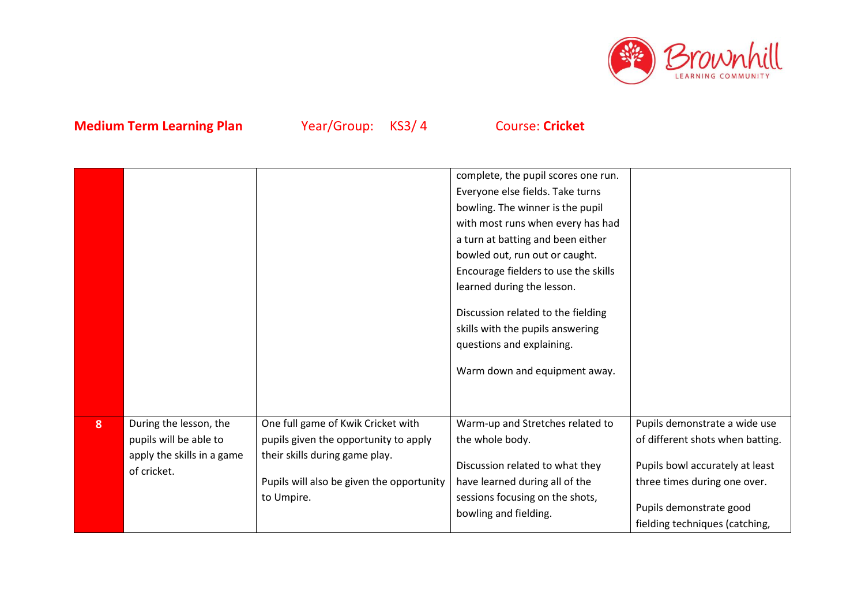

|   |                            |                                           | complete, the pupil scores one run.  |                                  |
|---|----------------------------|-------------------------------------------|--------------------------------------|----------------------------------|
|   |                            |                                           | Everyone else fields. Take turns     |                                  |
|   |                            |                                           | bowling. The winner is the pupil     |                                  |
|   |                            |                                           | with most runs when every has had    |                                  |
|   |                            |                                           | a turn at batting and been either    |                                  |
|   |                            |                                           | bowled out, run out or caught.       |                                  |
|   |                            |                                           | Encourage fielders to use the skills |                                  |
|   |                            |                                           | learned during the lesson.           |                                  |
|   |                            |                                           | Discussion related to the fielding   |                                  |
|   |                            |                                           | skills with the pupils answering     |                                  |
|   |                            |                                           | questions and explaining.            |                                  |
|   |                            |                                           |                                      |                                  |
|   |                            |                                           | Warm down and equipment away.        |                                  |
|   |                            |                                           |                                      |                                  |
|   |                            |                                           |                                      |                                  |
| 8 | During the lesson, the     | One full game of Kwik Cricket with        | Warm-up and Stretches related to     | Pupils demonstrate a wide use    |
|   | pupils will be able to     | pupils given the opportunity to apply     | the whole body.                      | of different shots when batting. |
|   | apply the skills in a game | their skills during game play.            |                                      |                                  |
|   | of cricket.                |                                           | Discussion related to what they      | Pupils bowl accurately at least  |
|   |                            | Pupils will also be given the opportunity | have learned during all of the       | three times during one over.     |
|   |                            | to Umpire.                                | sessions focusing on the shots,      | Pupils demonstrate good          |
|   |                            |                                           | bowling and fielding.                |                                  |
|   |                            |                                           |                                      | fielding techniques (catching,   |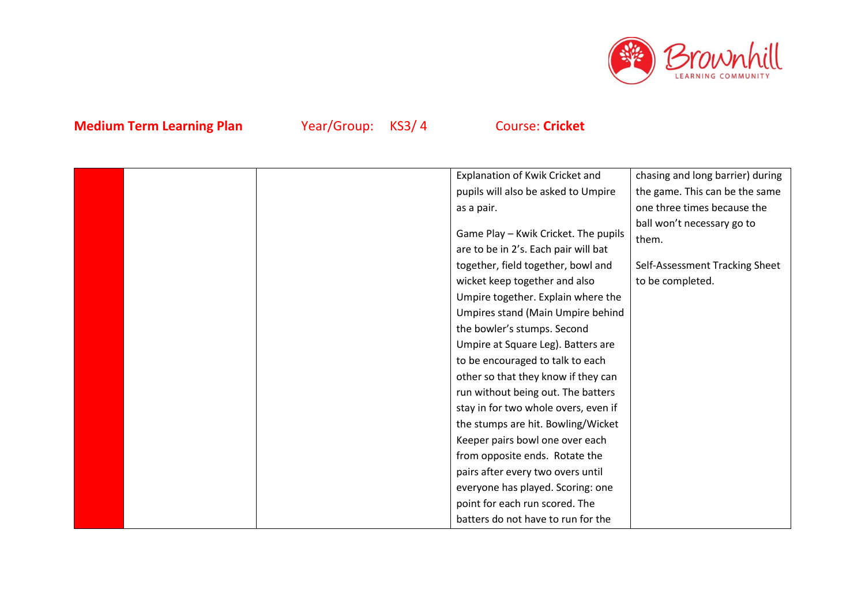

|  | Explanation of Kwik Cricket and      | chasing and long barrier) during |
|--|--------------------------------------|----------------------------------|
|  | pupils will also be asked to Umpire  | the game. This can be the same   |
|  | as a pair.                           | one three times because the      |
|  |                                      | ball won't necessary go to       |
|  | Game Play - Kwik Cricket. The pupils | them.                            |
|  | are to be in 2's. Each pair will bat |                                  |
|  | together, field together, bowl and   | Self-Assessment Tracking Sheet   |
|  | wicket keep together and also        | to be completed.                 |
|  | Umpire together. Explain where the   |                                  |
|  | Umpires stand (Main Umpire behind    |                                  |
|  | the bowler's stumps. Second          |                                  |
|  | Umpire at Square Leg). Batters are   |                                  |
|  | to be encouraged to talk to each     |                                  |
|  | other so that they know if they can  |                                  |
|  | run without being out. The batters   |                                  |
|  | stay in for two whole overs, even if |                                  |
|  | the stumps are hit. Bowling/Wicket   |                                  |
|  | Keeper pairs bowl one over each      |                                  |
|  | from opposite ends. Rotate the       |                                  |
|  | pairs after every two overs until    |                                  |
|  | everyone has played. Scoring: one    |                                  |
|  | point for each run scored. The       |                                  |
|  | batters do not have to run for the   |                                  |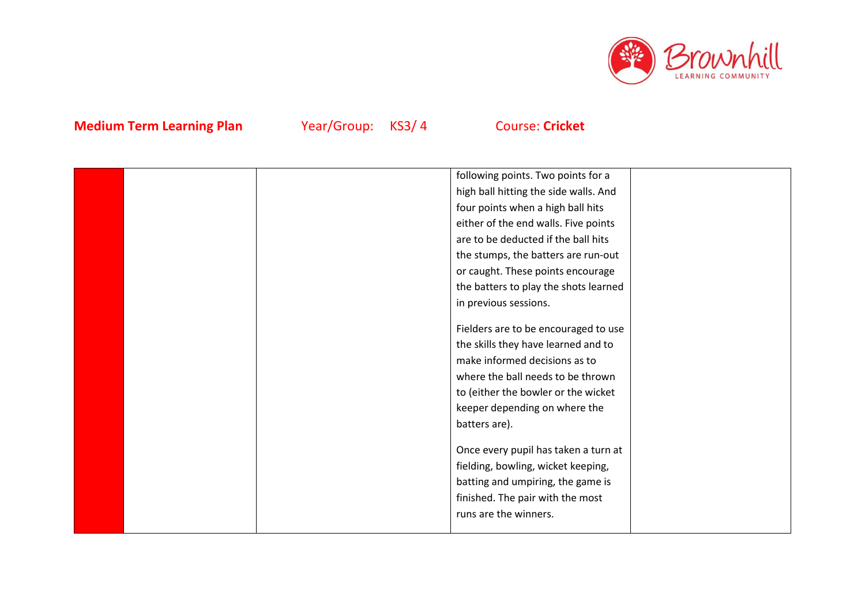

|  | following points. Two points for a    |  |
|--|---------------------------------------|--|
|  | high ball hitting the side walls. And |  |
|  | four points when a high ball hits     |  |
|  | either of the end walls. Five points  |  |
|  | are to be deducted if the ball hits   |  |
|  | the stumps, the batters are run-out   |  |
|  | or caught. These points encourage     |  |
|  | the batters to play the shots learned |  |
|  | in previous sessions.                 |  |
|  |                                       |  |
|  | Fielders are to be encouraged to use  |  |
|  | the skills they have learned and to   |  |
|  | make informed decisions as to         |  |
|  | where the ball needs to be thrown     |  |
|  | to (either the bowler or the wicket   |  |
|  | keeper depending on where the         |  |
|  | batters are).                         |  |
|  |                                       |  |
|  | Once every pupil has taken a turn at  |  |
|  | fielding, bowling, wicket keeping,    |  |
|  | batting and umpiring, the game is     |  |
|  | finished. The pair with the most      |  |
|  | runs are the winners.                 |  |
|  |                                       |  |